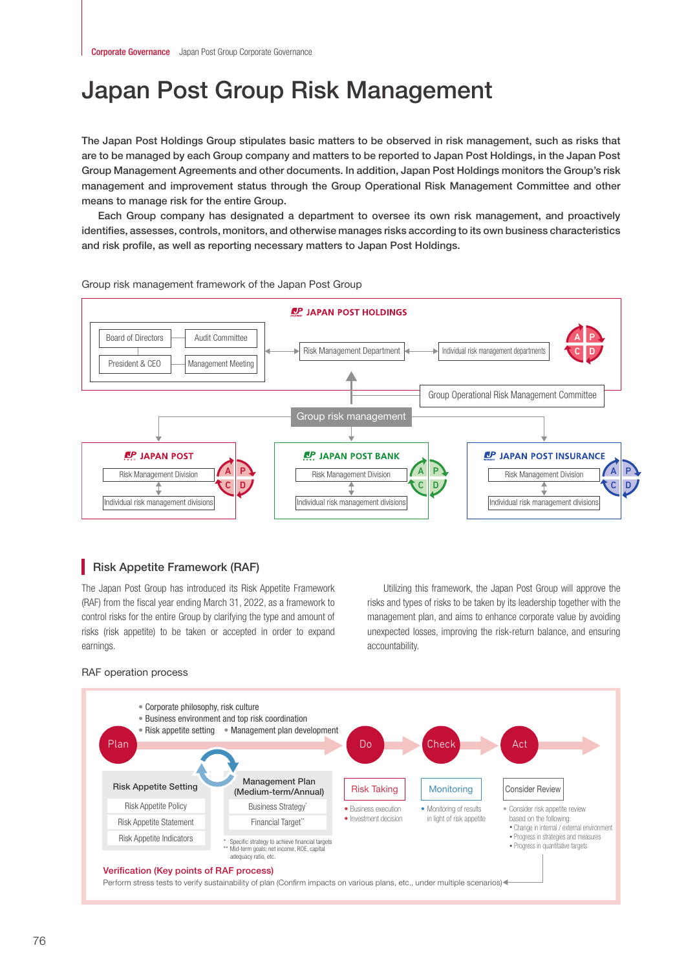# Japan Post Group Risk Management

The Japan Post Holdings Group stipulates basic matters to be observed in risk management, such as risks that are to be managed by each Group company and matters to be reported to Japan Post Holdings, in the Japan Post Group Management Agreements and other documents. In addition, Japan Post Holdings monitors the Group's risk management and improvement status through the Group Operational Risk Management Committee and other means to manage risk for the entire Group.

Each Group company has designated a department to oversee its own risk management, and proactively identifies, assesses, controls, monitors, and otherwise manages risks according to its own business characteristics and risk profile, as well as reporting necessary matters to Japan Post Holdings.



## Group risk management framework of the Japan Post Group

# **Risk Appetite Framework (RAF)**

The Japan Post Group has introduced its Risk Appetite Framework (RAF) from the fiscal year ending March 31, 2022, as a framework to control risks for the entire Group by clarifying the type and amount of risks (risk appetite) to be taken or accepted in order to expand earnings.

Utilizing this framework, the Japan Post Group will approve the risks and types of risks to be taken by its leadership together with the management plan, and aims to enhance corporate value by avoiding unexpected losses, improving the risk-return balance, and ensuring accountability.

## RAF operation process